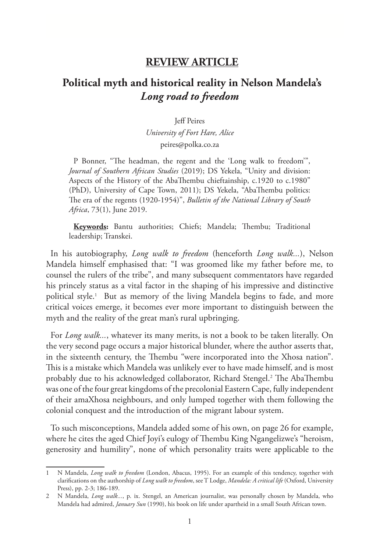## **REVIEW ARTICLE**

## **Political myth and historical reality in Nelson Mandela's**  *Long road to freedom*

Jeff Peires

*University of Fort Hare, Alice* peires@polka.co.za

P Bonner, "The headman, the regent and the 'Long walk to freedom'", *Journal of Southern African Studies* (2019); DS Yekela, "Unity and division: Aspects of the History of the AbaThembu chieftainship, c.1920 to c.1980" (PhD), University of Cape Town, 2011); DS Yekela, "AbaThembu politics: The era of the regents (1920-1954)", *Bulletin of the National Library of South Africa*, 73(1), June 2019.

**Keywords:** Bantu authorities; Chiefs; Mandela; Thembu; Traditional leadership; Transkei.

In his autobiography, *Long walk to freedom* (henceforth *Long walk...*), Nelson Mandela himself emphasised that: "I was groomed like my father before me, to counsel the rulers of the tribe", and many subsequent commentators have regarded his princely status as a vital factor in the shaping of his impressive and distinctive political style.1 But as memory of the living Mandela begins to fade, and more critical voices emerge, it becomes ever more important to distinguish between the myth and the reality of the great man's rural upbringing.

For *Long walk...*, whatever its many merits, is not a book to be taken literally. On the very second page occurs a major historical blunder, where the author asserts that, in the sixteenth century, the Thembu "were incorporated into the Xhosa nation". This is a mistake which Mandela was unlikely ever to have made himself, and is most probably due to his acknowledged collaborator, Richard Stengel.<sup>2</sup> The AbaThembu was one of the four great kingdoms of the precolonial Eastern Cape, fully independent of their amaXhosa neighbours, and only lumped together with them following the colonial conquest and the introduction of the migrant labour system.

To such misconceptions, Mandela added some of his own, on page 26 for example, where he cites the aged Chief Joyi's eulogy of Thembu King Ngangelizwe's "heroism, generosity and humility", none of which personality traits were applicable to the

<sup>1</sup> N Mandela, *Long walk to freedom* (London, Abacus, 1995). For an example of this tendency, together with clarifications on the authorship of *Long walk to freedom*, see T Lodge, *Mandela: A critical life* (Oxford, University Press), pp. 2-3; 186-189.

<sup>2</sup> N Mandela, *Long walk...*, p. ix. Stengel, an American journalist, was personally chosen by Mandela, who Mandela had admired, *January Sun* (1990), his book on life under apartheid in a small South African town.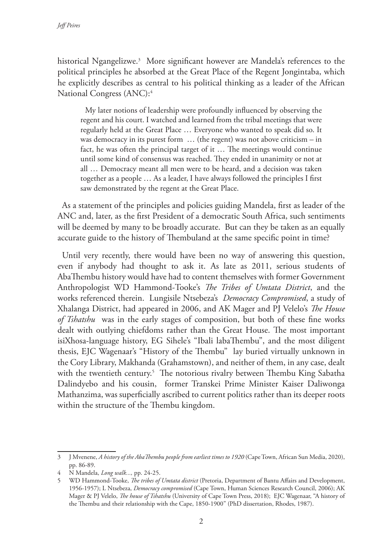historical Ngangelizwe.3 More significant however are Mandela's references to the political principles he absorbed at the Great Place of the Regent Jongintaba, which he explicitly describes as central to his political thinking as a leader of the African National Congress (ANC):4

My later notions of leadership were profoundly influenced by observing the regent and his court. I watched and learned from the tribal meetings that were regularly held at the Great Place … Everyone who wanted to speak did so. It was democracy in its purest form … (the regent) was not above criticism – in fact, he was often the principal target of it … The meetings would continue until some kind of consensus was reached. They ended in unanimity or not at all … Democracy meant all men were to be heard, and a decision was taken together as a people … As a leader, I have always followed the principles I first saw demonstrated by the regent at the Great Place.

As a statement of the principles and policies guiding Mandela, first as leader of the ANC and, later, as the first President of a democratic South Africa, such sentiments will be deemed by many to be broadly accurate. But can they be taken as an equally accurate guide to the history of Thembuland at the same specific point in time?

Until very recently, there would have been no way of answering this question, even if anybody had thought to ask it. As late as 2011, serious students of AbaThembu history would have had to content themselves with former Government Anthropologist WD Hammond-Tooke's *The Tribes of Umtata District*, and the works referenced therein. Lungisile Ntsebeza's *Democracy Compromised*, a study of Xhalanga District, had appeared in 2006, and AK Mager and PJ Velelo's *The House of Tshatshu* was in the early stages of composition, but both of these fine works dealt with outlying chiefdoms rather than the Great House. The most important isiXhosa-language history, EG Sihele's "Ibali labaThembu", and the most diligent thesis, EJC Wagenaar's "History of the Thembu" lay buried virtually unknown in the Cory Library, Makhanda (Grahamstown), and neither of them, in any case, dealt with the twentieth century.5 The notorious rivalry between Thembu King Sabatha Dalindyebo and his cousin, former Transkei Prime Minister Kaiser Daliwonga Mathanzima, was superficially ascribed to current politics rather than its deeper roots within the structure of the Thembu kingdom.

<sup>3</sup> J Mvenene, *A history of the AbaThembu people from earliest times to 1920* (Cape Town, African Sun Media, 2020), pp. 86-89.

<sup>4</sup> N Mandela, *Long walk...,* pp. 24-25.

<sup>5</sup> WD Hammond-Tooke, *The tribes of Umtata district* (Pretoria, Department of Bantu Affairs and Development, 1956-1957); L Ntsebeza, *Democracy compromised* (Cape Town, Human Sciences Research Council, 2006); AK Mager & PJ Velelo, *The house of Tshatshu* (University of Cape Town Press, 2018); EJC Wagenaar, "A history of the Thembu and their relationship with the Cape, 1850-1900" (PhD dissertation, Rhodes, 1987).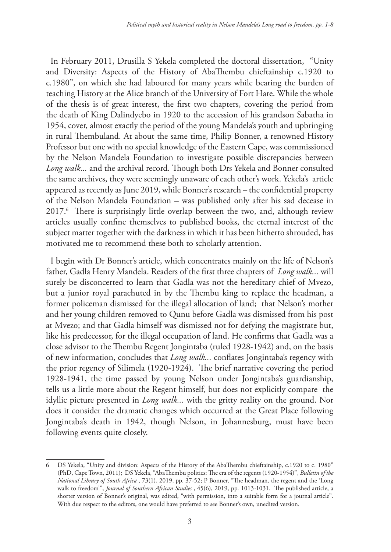In February 2011, Drusilla S Yekela completed the doctoral dissertation, "Unity and Diversity: Aspects of the History of AbaThembu chieftainship c.1920 to c.1980", on which she had laboured for many years while bearing the burden of teaching History at the Alice branch of the University of Fort Hare. While the whole of the thesis is of great interest, the first two chapters, covering the period from the death of King Dalindyebo in 1920 to the accession of his grandson Sabatha in 1954, cover, almost exactly the period of the young Mandela's youth and upbringing in rural Thembuland. At about the same time, Philip Bonner, a renowned History Professor but one with no special knowledge of the Eastern Cape, was commissioned by the Nelson Mandela Foundation to investigate possible discrepancies between *Long walk...* and the archival record. Though both Drs Yekela and Bonner consulted the same archives, they were seemingly unaware of each other's work. Yekela's article appeared as recently as June 2019, while Bonner's research – the confidential property of the Nelson Mandela Foundation – was published only after his sad decease in 2017.6 There is surprisingly little overlap between the two, and, although review articles usually confine themselves to published books, the eternal interest of the subject matter together with the darkness in which it has been hitherto shrouded, has motivated me to recommend these both to scholarly attention.

I begin with Dr Bonner's article, which concentrates mainly on the life of Nelson's father, Gadla Henry Mandela. Readers of the first three chapters of *Long walk...* will surely be disconcerted to learn that Gadla was not the hereditary chief of Mvezo, but a junior royal parachuted in by the Thembu king to replace the headman, a former policeman dismissed for the illegal allocation of land; that Nelson's mother and her young children removed to Qunu before Gadla was dismissed from his post at Mvezo; and that Gadla himself was dismissed not for defying the magistrate but, like his predecessor, for the illegal occupation of land. He confirms that Gadla was a close advisor to the Thembu Regent Jongintaba (ruled 1928-1942) and, on the basis of new information, concludes that *Long walk...* conflates Jongintaba's regency with the prior regency of Silimela (1920-1924). The brief narrative covering the period 1928-1941, the time passed by young Nelson under Jongintaba's guardianship, tells us a little more about the Regent himself, but does not explicitly compare the idyllic picture presented in *Long walk...* with the gritty reality on the ground. Nor does it consider the dramatic changes which occurred at the Great Place following Jongintaba's death in 1942, though Nelson, in Johannesburg, must have been following events quite closely.

<sup>6</sup> DS Yekela, "Unity and division: Aspects of the History of the AbaThembu chieftainship, c.1920 to c. 1980" (PhD, Cape Town, 2011); DS Yekela, "AbaThembu politics: The era of the regents (1920-1954)", *Bulletin of the National Library of South Africa* , 73(1), 2019, pp. 37-52; P Bonner, "The headman, the regent and the 'Long walk to freedom'", *Journal of Southern African Studies* , 45(6), 2019, pp. 1013-1031. The published article, a shorter version of Bonner's original, was edited, "with permission, into a suitable form for a journal article". With due respect to the editors, one would have preferred to see Bonner's own, unedited version.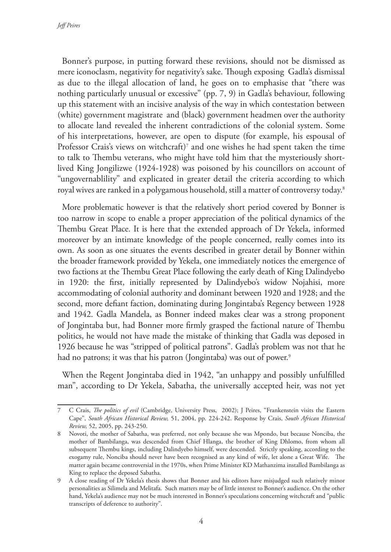*Jeff Peires*

Bonner's purpose, in putting forward these revisions, should not be dismissed as mere iconoclasm, negativity for negativity's sake. Though exposing Gadla's dismissal as due to the illegal allocation of land, he goes on to emphasise that "there was nothing particularly unusual or excessive" (pp. 7, 9) in Gadla's behaviour, following up this statement with an incisive analysis of the way in which contestation between (white) government magistrate and (black) government headmen over the authority to allocate land revealed the inherent contradictions of the colonial system. Some of his interpretations, however, are open to dispute (for example, his espousal of Professor Crais's views on witchcraft)7 and one wishes he had spent taken the time to talk to Thembu veterans, who might have told him that the mysteriously shortlived King Jongilizwe (1924-1928) was poisoned by his councillors on account of "ungovernablility" and explicated in greater detail the criteria according to which royal wives are ranked in a polygamous household, still a matter of controversy today.<sup>8</sup>

More problematic however is that the relatively short period covered by Bonner is too narrow in scope to enable a proper appreciation of the political dynamics of the Thembu Great Place. It is here that the extended approach of Dr Yekela, informed moreover by an intimate knowledge of the people concerned, really comes into its own. As soon as one situates the events described in greater detail by Bonner within the broader framework provided by Yekela, one immediately notices the emergence of two factions at the Thembu Great Place following the early death of King Dalindyebo in 1920: the first, initially represented by Dalindyebo's widow Nojahisi, more accommodating of colonial authority and dominant between 1920 and 1928; and the second, more defiant faction, dominating during Jongintaba's Regency between 1928 and 1942. Gadla Mandela, as Bonner indeed makes clear was a strong proponent of Jongintaba but, had Bonner more firmly grasped the factional nature of Thembu politics, he would not have made the mistake of thinking that Gadla was deposed in 1926 because he was "stripped of political patrons". Gadla's problem was not that he had no patrons; it was that his patron (Jongintaba) was out of power. $^{\circ}$ 

When the Regent Jongintaba died in 1942, "an unhappy and possibly unfulfilled man", according to Dr Yekela, Sabatha, the universally accepted heir, was not yet

<sup>7</sup> C Crais, *The politics of evil* (Cambridge, University Press, 2002); J Peires, "Frankenstein visits the Eastern Cape", *South African Historical Review,* 51, 2004, pp. 224-242. Response by Crais, *South African Historical Review,* 52, 2005, pp. 243-250.

<sup>8</sup> Novoti, the mother of Sabatha, was preferred, not only because she was Mpondo, but because Nonciba, the mother of Bambilanga, was descended from Chief Hlanga, the brother of King Dhlomo, from whom all subsequent Thembu kings, including Dalindyebo himself, were descended. Strictly speaking, according to the exogamy rule, Nonciba should never have been recognised as any kind of wife, let alone a Great Wife. The matter again became controversial in the 1970s, when Prime Minister KD Mathanzima installed Bambilanga as King to replace the deposed Sabatha.

<sup>9</sup> A close reading of Dr Yekela's thesis shows that Bonner and his editors have misjudged such relatively minor personalities as Silimela and Melitafa. Such matters may be of little interest to Bonner's audience. On the other hand, Yekela's audience may not be much interested in Bonner's speculations concerning witchcraft and "public transcripts of deference to authority".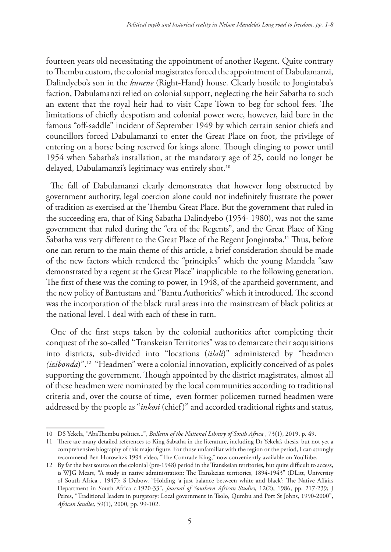fourteen years old necessitating the appointment of another Regent. Quite contrary to Thembu custom, the colonial magistrates forced the appointment of Dabulamanzi, Dalindyebo's son in the *kunene* (Right-Hand) house. Clearly hostile to Jongintaba's faction, Dabulamanzi relied on colonial support, neglecting the heir Sabatha to such an extent that the royal heir had to visit Cape Town to beg for school fees. The limitations of chiefly despotism and colonial power were, however, laid bare in the famous "off-saddle" incident of September 1949 by which certain senior chiefs and councillors forced Dabulamanzi to enter the Great Place on foot, the privilege of entering on a horse being reserved for kings alone. Though clinging to power until 1954 when Sabatha's installation, at the mandatory age of 25, could no longer be delayed, Dabulamanzi's legitimacy was entirely shot.<sup>10</sup>

The fall of Dabulamanzi clearly demonstrates that however long obstructed by government authority, legal coercion alone could not indefinitely frustrate the power of tradition as exercised at the Thembu Great Place. But the government that ruled in the succeeding era, that of King Sabatha Dalindyebo (1954- 1980), was not the same government that ruled during the "era of the Regents", and the Great Place of King Sabatha was very different to the Great Place of the Regent Jongintaba.<sup>11</sup> Thus, before one can return to the main theme of this article, a brief consideration should be made of the new factors which rendered the "principles" which the young Mandela "saw demonstrated by a regent at the Great Place" inapplicable to the following generation. The first of these was the coming to power, in 1948, of the apartheid government, and the new policy of Bantustans and "Bantu Authorities" which it introduced. The second was the incorporation of the black rural areas into the mainstream of black politics at the national level. I deal with each of these in turn.

One of the first steps taken by the colonial authorities after completing their conquest of the so-called "Transkeian Territories" was to demarcate their acquisitions into districts, sub-divided into "locations (*iilali*)" administered by "headmen *(izibonda*)".12 "Headmen" were a colonial innovation, explicitly conceived of as poles supporting the government. Though appointed by the district magistrates, almost all of these headmen were nominated by the local communities according to traditional criteria and, over the course of time, even former policemen turned headmen were addressed by the people as "*inkosi* (chief)" and accorded traditional rights and status,

<sup>10</sup> DS Yekela, "AbaThembu politics...", *Bulletin of the National Library of South Africa* , 73(1), 2019, p. 49.

<sup>11</sup> There are many detailed references to King Sabatha in the literature, including Dr Yekela's thesis, but not yet a comprehensive biography of this major figure. For those unfamiliar with the region or the period, I can strongly recommend Ben Horowitz's 1994 video, "The Comrade King," now conveniently available on YouTube.

<sup>12</sup> By far the best source on the colonial (pre-1948) period in the Transkeian territories, but quite difficult to access, is WJG Mears, "A study in native administration: The Transkeian territories, 1894-1943" (DLitt, University of South Africa , 1947); S Dubow, "Holding 'a just balance between white and black': The Native Affairs Department in South Africa c.1920-33", *Journal of Southern African Studies,* 12(2), 1986, pp. 217-239; J Peires, "Traditional leaders in purgatory: Local government in Tsolo, Qumbu and Port St Johns, 1990-2000", *African Studies,* 59(1), 2000, pp. 99-102.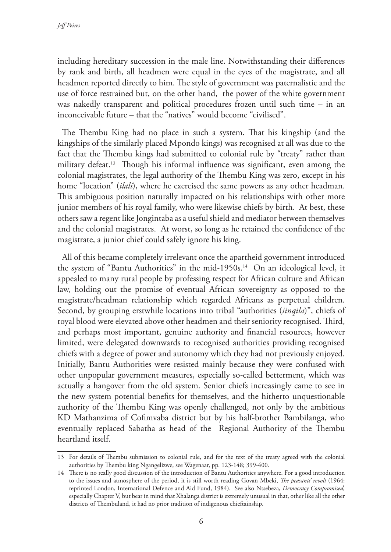including hereditary succession in the male line. Notwithstanding their differences by rank and birth, all headmen were equal in the eyes of the magistrate, and all headmen reported directly to him. The style of government was paternalistic and the use of force restrained but, on the other hand, the power of the white government was nakedly transparent and political procedures frozen until such time – in an inconceivable future – that the "natives" would become "civilised".

The Thembu King had no place in such a system. That his kingship (and the kingships of the similarly placed Mpondo kings) was recognised at all was due to the fact that the Thembu kings had submitted to colonial rule by "treaty" rather than military defeat.13 Though his informal influence was significant, even among the colonial magistrates, the legal authority of the Thembu King was zero, except in his home "location" (*ilali*), where he exercised the same powers as any other headman. This ambiguous position naturally impacted on his relationships with other more junior members of his royal family, who were likewise chiefs by birth. At best, these others saw a regent like Jongintaba as a useful shield and mediator between themselves and the colonial magistrates. At worst, so long as he retained the confidence of the magistrate, a junior chief could safely ignore his king.

All of this became completely irrelevant once the apartheid government introduced the system of "Bantu Authorities" in the mid-1950s.<sup>14</sup> On an ideological level, it appealed to many rural people by professing respect for African culture and African law, holding out the promise of eventual African sovereignty as opposed to the magistrate/headman relationship which regarded Africans as perpetual children. Second, by grouping erstwhile locations into tribal "authorities (*iinqila*)", chiefs of royal blood were elevated above other headmen and their seniority recognised. Third, and perhaps most important, genuine authority and financial resources, however limited, were delegated downwards to recognised authorities providing recognised chiefs with a degree of power and autonomy which they had not previously enjoyed. Initially, Bantu Authorities were resisted mainly because they were confused with other unpopular government measures, especially so-called betterment, which was actually a hangover from the old system. Senior chiefs increasingly came to see in the new system potential benefits for themselves, and the hitherto unquestionable authority of the Thembu King was openly challenged, not only by the ambitious KD Mathanzima of Cofimvaba district but by his half-brother Bambilanga, who eventually replaced Sabatha as head of the Regional Authority of the Thembu heartland itself.

<sup>13</sup> For details of Thembu submission to colonial rule, and for the text of the treaty agreed with the colonial authorities by Thembu king Ngangelizwe, see Wagenaar, pp. 123-148; 399-400.

<sup>14</sup> There is no really good discussion of the introduction of Bantu Authorities anywhere. For a good introduction to the issues and atmosphere of the period, it is still worth reading Govan Mbeki, *The peasants' revolt* (1964: reprinted London, International Defence and Aid Fund, 1984). See also Ntsebeza, *Democracy Compromised,*  especially Chapter V, but bear in mind that Xhalanga district is extremely unusual in that, other like all the other districts of Thembuland, it had no prior tradition of indigenous chieftainship.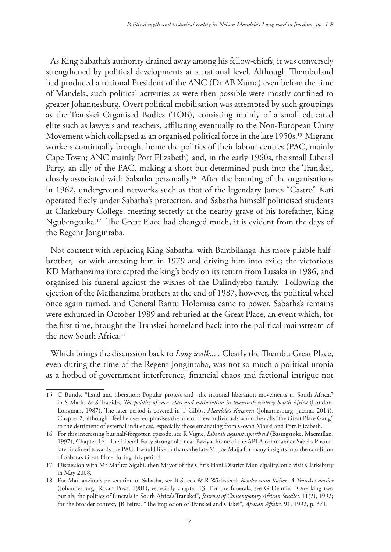As King Sabatha's authority drained away among his fellow-chiefs, it was conversely strengthened by political developments at a national level. Although Thembuland had produced a national President of the ANC (Dr AB Xuma) even before the time of Mandela, such political activities as were then possible were mostly confined to greater Johannesburg. Overt political mobilisation was attempted by such groupings as the Transkei Organised Bodies (TOB), consisting mainly of a small educated elite such as lawyers and teachers, affiliating eventually to the Non-European Unity Movement which collapsed as an organised political force in the late 1950s.<sup>15</sup> Migrant workers continually brought home the politics of their labour centres (PAC, mainly Cape Town; ANC mainly Port Elizabeth) and, in the early 1960s, the small Liberal Party, an ally of the PAC, making a short but determined push into the Transkei, closely associated with Sabatha personally.16 After the banning of the organisations in 1962, underground networks such as that of the legendary James "Castro" Kati operated freely under Sabatha's protection, and Sabatha himself politicised students at Clarkebury College, meeting secretly at the nearby grave of his forefather, King Ngubengcuka.17 The Great Place had changed much, it is evident from the days of the Regent Jongintaba.

Not content with replacing King Sabatha with Bambilanga, his more pliable halfbrother, or with arresting him in 1979 and driving him into exile; the victorious KD Mathanzima intercepted the king's body on its return from Lusaka in 1986, and organised his funeral against the wishes of the Dalindyebo family. Following the ejection of the Mathanzima brothers at the end of 1987, however, the political wheel once again turned, and General Bantu Holomisa came to power. Sabatha's remains were exhumed in October 1989 and reburied at the Great Place, an event which, for the first time, brought the Transkei homeland back into the political mainstream of the new South Africa.18

Which brings the discussion back to *Long walk... .* Clearly the Thembu Great Place, even during the time of the Regent Jongintaba, was not so much a political utopia as a hotbed of government interference, financial chaos and factional intrigue not

<sup>15</sup> C Bundy, "Land and liberation: Popular protest and the national liberation movements in South Africa," in S Marks & S Trapido, *The politics of race, class and nationalism in twentieth century South Africa* (London, Longman, 1987). The later period is covered in T Gibbs, *Mandela's Kinsmen* (Johannesburg, Jacana, 2014), Chapter 2, although I feel he over-emphasises the role of a few individuals whom he calls "the Great Place Gang" to the detriment of external influences, especially those emanating from Govan Mbeki and Port Elizabeth.

<sup>16</sup> For this interesting but half-forgotten episode, see R Vigne, *Liberals against apartheid* (Basingstoke, Macmillan, 1997), Chapter 16. The Liberal Party stronghold near Baziya, home of the APLA commander Sabelo Phama, later inclined towards the PAC. I would like to thank the late Mr Joe Majja for many insights into the condition of Sabata's Great Place during this period.

<sup>17</sup> Discussion with Mr Mafuza Sigabi, then Mayor of the Chris Hani District Municipality, on a visit Clarkebury in May 2008.

<sup>18</sup> For Mathanzima's persecution of Sabatha, see B Streek & R Wicksteed, *Render unto Kaiser: A Transkei dossier*  (Johannesburg, Ravan Press, 1981), especially chapter 13. For the funerals, see G Dennie, "One king two burials; the politics of funerals in South Africa's Transkei", *Journal of Contemporary African Studies,* 11(2), 1992; for the broader context, JB Peires, "The implosion of Transkei and Ciskei", *African Affairs,* 91, 1992, p. 371.